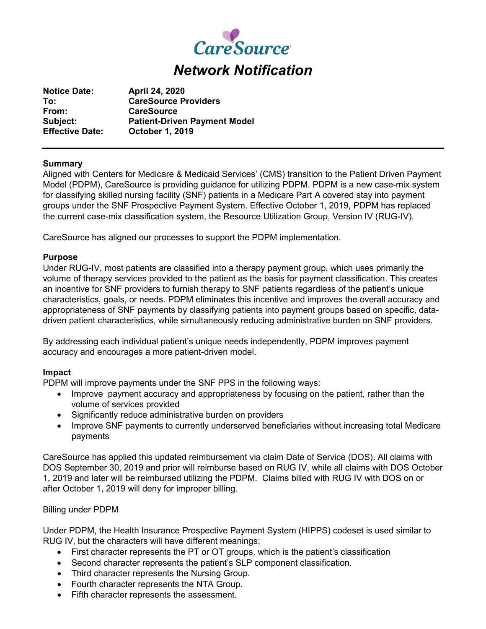

**Notice Date: April 24, 2020 To: CareSource Providers From: CareSource Subject: Patient-Driven Payment Model Effective Date: October 1, 2019**

## **Summary**

Aligned with Centers for Medicare & Medicaid Services' (CMS) transition to the Patient Driven Payment Model (PDPM), CareSource is providing guidance for utilizing PDPM. PDPM is a new case-mix system for classifying skilled nursing facility (SNF) patients in a Medicare Part A covered stay into payment groups under the SNF Prospective Payment System. Effective October 1, 2019, PDPM has replaced the current case-mix classification system, the Resource Utilization Group, Version IV (RUG-IV).

CareSource has aligned our processes to support the PDPM implementation.

### **Purpose**

Under RUG-IV, most patients are classified into a therapy payment group, which uses primarily the volume of therapy services provided to the patient as the basis for payment classification. This creates an incentive for SNF providers to furnish therapy to SNF patients regardless of the patient's unique characteristics, goals, or needs. PDPM eliminates this incentive and improves the overall accuracy and appropriateness of SNF payments by classifying patients into payment groups based on specific, datadriven patient characteristics, while simultaneously reducing administrative burden on SNF providers.

By addressing each individual patient's unique needs independently, PDPM improves payment accuracy and encourages a more patient-driven model.

## **Impact**

PDPM will improve payments under the SNF PPS in the following ways:

- Improve payment accuracy and appropriateness by focusing on the patient, rather than the volume of services provided
- Significantly reduce administrative burden on providers
- Improve SNF payments to currently underserved beneficiaries without increasing total Medicare payments

CareSource has applied this updated reimbursement via claim Date of Service (DOS). All claims with DOS September 30, 2019 and prior will reimburse based on RUG IV, while all claims with DOS October 1, 2019 and later will be reimbursed utilizing the PDPM. Claims billed with RUG IV with DOS on or after October 1, 2019 will deny for improper billing.

## Billing under PDPM

Under PDPM, the Health Insurance Prospective Payment System (HIPPS) codeset is used similar to RUG IV, but the characters will have different meanings;

- First character represents the PT or OT groups, which is the patient's classification
- Second character represents the patient's SLP component classification.
- Third character represents the Nursing Group.
- Fourth character represents the NTA Group.
- Fifth character represents the assessment.